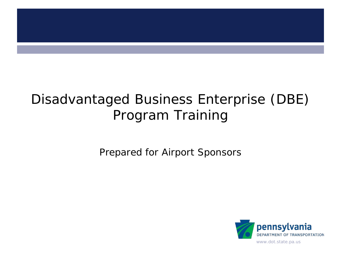

# Disadvantaged Business Enterprise (DBE) Program Training

Prepared for Airport Sponsors

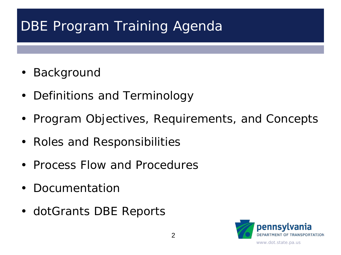# DBE Program Training Agenda

- Background
- Definitions and Terminology
- Program Objectives, Requirements, and Concepts
- Roles and Responsibilities
- Process Flow and Procedures
- Documentation
- dotGrants DBE Reports

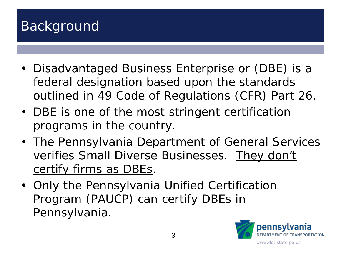### Background

- Disadvantaged Business Enterprise or (DBE) is a federal designation based upon the standards outlined in 49 Code of Regulations (CFR) Part 26.
- DBE is one of the most stringent certification programs in the country.
- The Pennsylvania Department of General Services verifies Small Diverse Businesses. They don't certify firms as DBEs.
- Only the Pennsylvania Unified Certification Program (PAUCP) can certify DBEs in Pennsylvania.

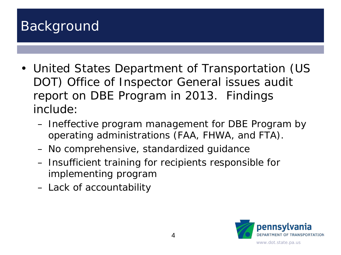### Background

- United States Department of Transportation (US DOT) Office of Inspector General issues audit report on DBE Program in 2013. Findings include:
	- Ineffective program management for DBE Program by operating administrations (FAA, FHWA, and FTA).
	- No comprehensive, standardized guidance
	- Insufficient training for recipients responsible for implementing program
	- Lack of accountability

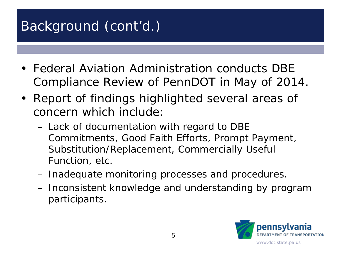# Background (cont'd.)

- Federal Aviation Administration conducts DBE Compliance Review of PennDOT in May of 2014.
- Report of findings highlighted several areas of concern which include:
	- Lack of documentation with regard to DBE Commitments, Good Faith Efforts, Prompt Payment, Substitution/Replacement, Commercially Useful Function, etc.
	- Inadequate monitoring processes and procedures.
	- Inconsistent knowledge and understanding by program participants.

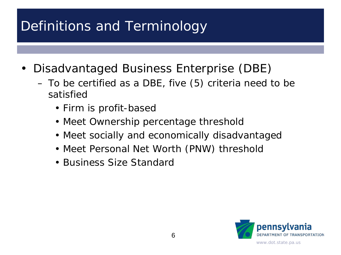# Definitions and Terminology

- Disadvantaged Business Enterprise (DBE)
	- To be certified as a DBE, five (5) criteria need to be satisfied
		- Firm is profit-based
		- Meet Ownership percentage threshold
		- Meet socially and economically disadvantaged
		- Meet Personal Net Worth (PNW) threshold
		- Business Size Standard

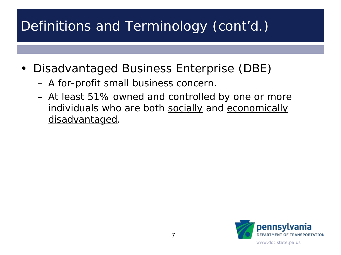- Disadvantaged Business Enterprise (DBE)
	- A for-profit small business concern.
	- At least 51% owned and controlled by one or more individuals who are both socially and economically disadvantaged.

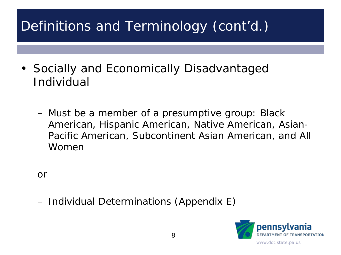- Socially and Economically Disadvantaged Individual
	- Must be a member of a presumptive group: Black American, Hispanic American, Native American, Asian-Pacific American, Subcontinent Asian American, and All Women

or

– Individual Determinations (Appendix E)

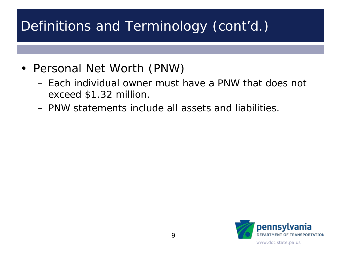- Personal Net Worth (PNW)
	- Each individual owner must have a PNW that does not exceed \$1.32 million.
	- PNW statements include all assets and liabilities.

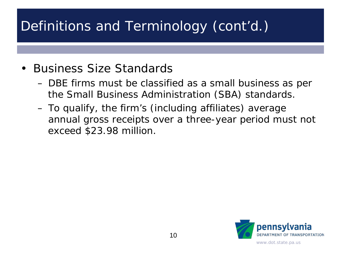#### • Business Size Standards

- DBE firms must be classified as a small business as per the Small Business Administration (SBA) standards.
- To qualify, the firm's (including affiliates) average annual gross receipts over a three-year period must not exceed \$23.98 million.

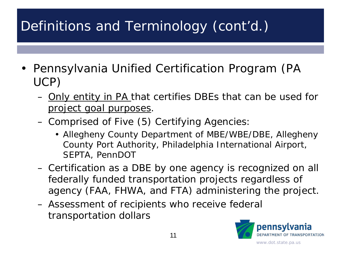- Pennsylvania Unified Certification Program (PA UCP)
	- Only entity in PA that certifies DBEs that can be used for project goal purposes.
	- Comprised of Five (5) Certifying Agencies:
		- Allegheny County Department of MBE/WBE/DBE, Allegheny County Port Authority, Philadelphia International Airport, SEPTA, PennDOT
	- Certification as a DBE by one agency is recognized on all federally funded transportation projects regardless of agency (FAA, FHWA, and FTA) administering the project.
	- Assessment of recipients who receive federal transportation dollars

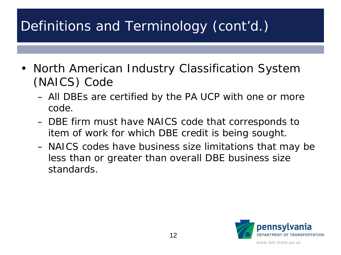- North American Industry Classification System (NAICS) Code
	- All DBEs are certified by the PA UCP with one or more code.
	- DBE firm must have NAICS code that corresponds to item of work for which DBE credit is being sought.
	- NAICS codes have business size limitations that may be less than or greater than overall DBE business size standards.

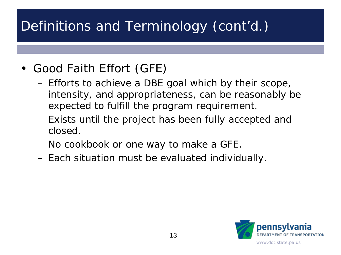- Good Faith Effort (GFE)
	- Efforts to achieve a DBE goal which by their scope, intensity, and appropriateness, can be reasonably be expected to fulfill the program requirement.
	- Exists until the project has been fully accepted and closed.
	- No cookbook or one way to make a GFE.
	- Each situation must be evaluated individually.

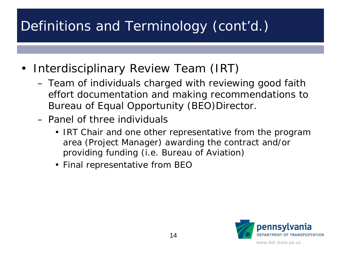- Interdisciplinary Review Team (IRT)
	- Team of individuals charged with reviewing good faith effort documentation and making recommendations to Bureau of Equal Opportunity (BEO)Director.
	- Panel of three individuals
		- IRT Chair and one other representative from the program area (Project Manager) awarding the contract and/or providing funding (i.e. Bureau of Aviation)
		- Final representative from BEO

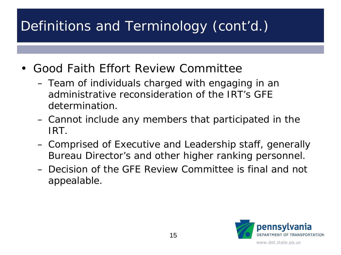- Good Faith Effort Review Committee
	- Team of individuals charged with engaging in an administrative reconsideration of the IRT's GFE determination.
	- Cannot include any members that participated in the IRT.
	- Comprised of Executive and Leadership staff, generally Bureau Director's and other higher ranking personnel.
	- Decision of the GFE Review Committee is final and not appealable.

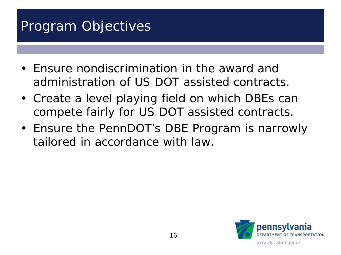## Program Objectives

- Ensure nondiscrimination in the award and administration of US DOT assisted contracts.
- Create a level playing field on which DBEs can compete fairly for US DOT assisted contracts.
- Ensure the PennDOT's DBE Program is narrowly tailored in accordance with law.

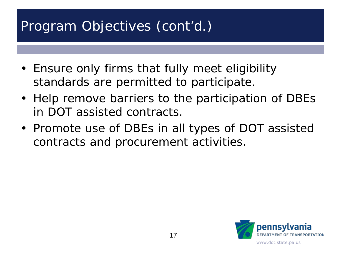# Program Objectives (cont'd.)

- Ensure only firms that fully meet eligibility standards are permitted to participate.
- Help remove barriers to the participation of DBEs in DOT assisted contracts.
- Promote use of DBEs in all types of DOT assisted contracts and procurement activities.

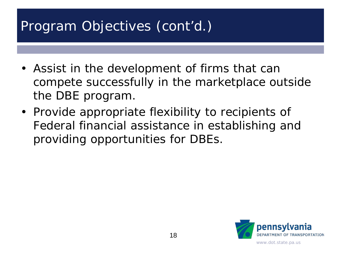# Program Objectives (cont'd.)

- Assist in the development of firms that can compete successfully in the marketplace outside the DBE program.
- Provide appropriate flexibility to recipients of Federal financial assistance in establishing and providing opportunities for DBEs.

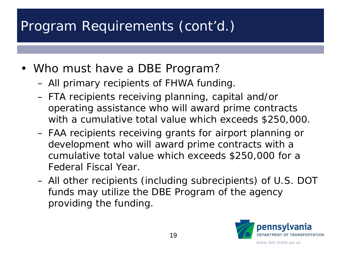- Who must have a DBE Program?
	- All primary recipients of FHWA funding.
	- FTA recipients receiving planning, capital and/or operating assistance who will award prime contracts with a cumulative total value which exceeds \$250,000.
	- FAA recipients receiving grants for airport planning or development who will award prime contracts with a cumulative total value which exceeds \$250,000 for a Federal Fiscal Year.
	- All other recipients (including subrecipients) of U.S. DOT funds may utilize the DBE Program of the agency providing the funding.

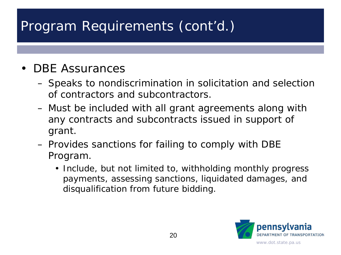#### • DBE Assurances

- Speaks to nondiscrimination in solicitation and selection of contractors and subcontractors.
- Must be included with all grant agreements along with any contracts and subcontracts issued in support of grant.
- Provides sanctions for failing to comply with DBE Program.
	- Include, but not limited to, withholding monthly progress payments, assessing sanctions, liquidated damages, and disqualification from future bidding.

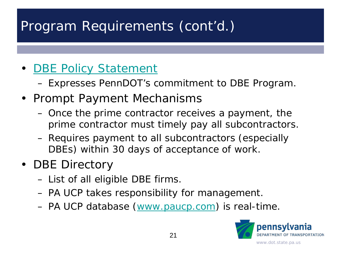#### • [DBE Policy Statement](http://www.penndot.gov/about-us/EqualEmployment/Documents/DBE%20Policy%20Statement_%208-31-15_%20LSR.pdf)

- Expresses PennDOT's commitment to DBE Program.
- Prompt Payment Mechanisms
	- Once the prime contractor receives a payment, the prime contractor must timely pay all subcontractors.
	- Requires payment to all subcontractors (especially DBEs) within 30 days of acceptance of work.
- DBE Directory
	- List of all eligible DBE firms.
	- PA UCP takes responsibility for management.
	- PA UCP database [\(www.paucp.com](http://www.paucp.com/)) is real-time.

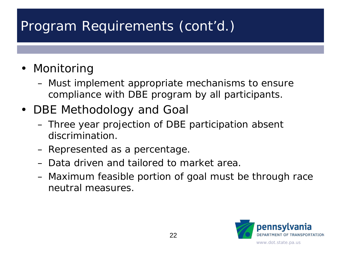- Monitoring
	- Must implement appropriate mechanisms to ensure compliance with DBE program by all participants.
- DBE Methodology and Goal
	- Three year projection of DBE participation absent discrimination.
	- Represented as a percentage.
	- Data driven and tailored to market area.
	- Maximum feasible portion of goal must be through race neutral measures.

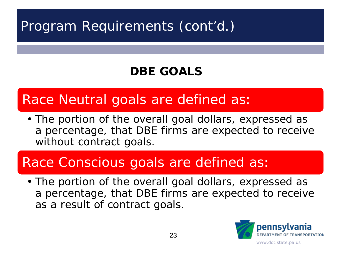#### **DBE GOALS**

## Race Neutral goals are defined as:

• The portion of the overall goal dollars, expressed as a percentage, that DBE firms are expected to receive without contract goals.

## Race Conscious goals are defined as:

• The portion of the overall goal dollars, expressed as a percentage, that DBE firms are expected to receive as a result of contract goals.

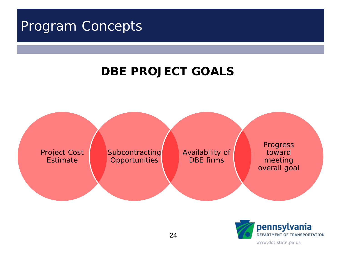#### Program Concepts

#### **DBE PROJECT GOALS**



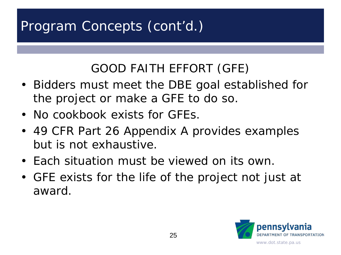# Program Concepts (cont'd.)

### GOOD FAITH EFFORT (GFE)

- Bidders must meet the DBE goal established for the project or make a GFE to do so.
- No cookbook exists for GFEs.
- 49 CFR Part 26 Appendix A provides examples but is not exhaustive.
- Each situation must be viewed on its own.
- GFE exists for the life of the project not just at award.

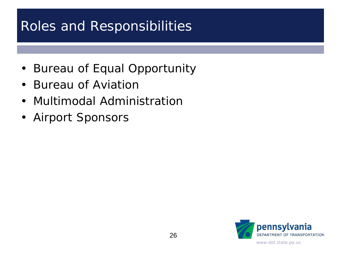## Roles and Responsibilities

- Bureau of Equal Opportunity
- Bureau of Aviation
- Multimodal Administration
- Airport Sponsors

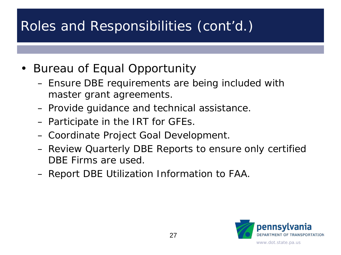- Bureau of Equal Opportunity
	- Ensure DBE requirements are being included with master grant agreements.
	- Provide guidance and technical assistance.
	- Participate in the IRT for GFEs.
	- Coordinate Project Goal Development.
	- Review Quarterly DBE Reports to ensure only certified DBE Firms are used.
	- Report DBE Utilization Information to FAA.

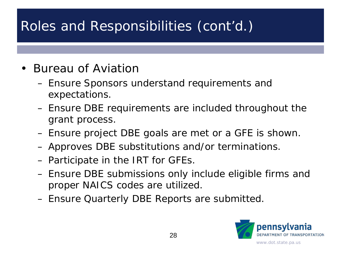#### • Bureau of Aviation

- Ensure Sponsors understand requirements and expectations.
- Ensure DBE requirements are included throughout the grant process.
- Ensure project DBE goals are met or a GFE is shown.
- Approves DBE substitutions and/or terminations.
- Participate in the IRT for GFEs.
- Ensure DBE submissions only include eligible firms and proper NAICS codes are utilized.
- Ensure Quarterly DBE Reports are submitted.

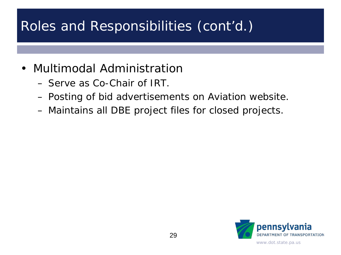- Multimodal Administration
	- Serve as Co-Chair of IRT.
	- Posting of bid advertisements on Aviation website.
	- Maintains all DBE project files for closed projects.

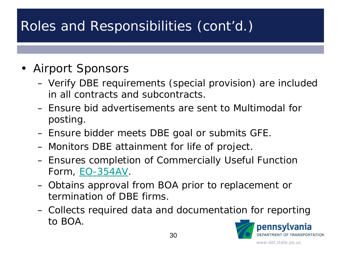- Airport Sponsors
	- Verify DBE requirements (special provision) are included in all contracts and subcontracts.
	- Ensure bid advertisements are sent to Multimodal for posting.
	- Ensure bidder meets DBE goal or submits GFE.
	- Monitors DBE attainment for life of project.
	- Ensures completion of Commercially Useful Function Form, [EO-354AV.](http://www.dot.state.pa.us/public/PubsForms/Forms/EO-354AV.pdf)
	- Obtains approval from BOA prior to replacement or termination of DBE firms.
	- Collects required data and documentation for reporting to BOA.

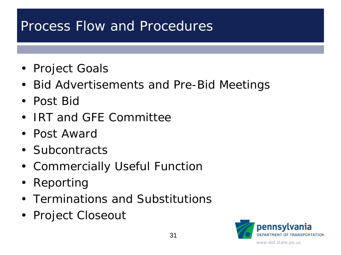### Process Flow and Procedures

- Project Goals
- Bid Advertisements and Pre-Bid Meetings
- Post Bid
- IRT and GFE Committee
- Post Award
- Subcontracts
- Commercially Useful Function
- Reporting
- Terminations and Substitutions
- Project Closeout

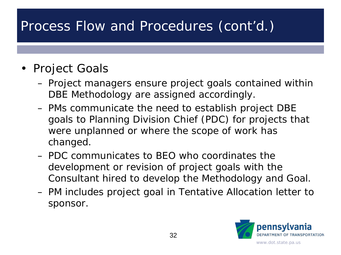#### • Project Goals

- Project managers ensure project goals contained within DBE Methodology are assigned accordingly.
- PMs communicate the need to establish project DBE goals to Planning Division Chief (PDC) for projects that were unplanned or where the scope of work has changed.
- PDC communicates to BEO who coordinates the development or revision of project goals with the Consultant hired to develop the Methodology and Goal.
- PM includes project goal in Tentative Allocation letter to sponsor.

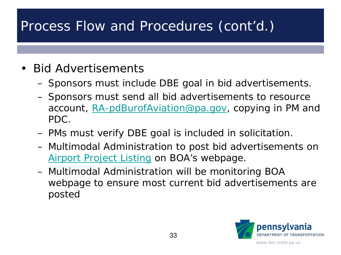- Bid Advertisements
	- Sponsors must include DBE goal in bid advertisements.
	- Sponsors must send all bid advertisements to resource account, [RA-pdBurofAviation@pa.gov](mailto:RA-pdBurofAviation@pa.gov), copying in PM and PDC.
	- PMs must verify DBE goal is included in solicitation.
	- Multimodal Administration to post bid advertisements on [Airport Project Listing](http://www.penndot.gov/Doing-Business/Aviation/Pages/Airport-Project-Bid-Advertisements.aspx) on BOA's webpage.
	- Multimodal Administration will be monitoring BOA webpage to ensure most current bid advertisements are posted

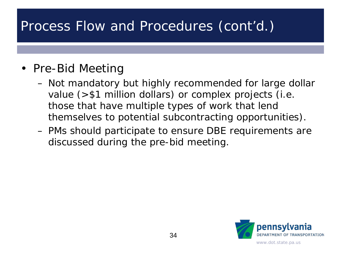#### • Pre-Bid Meeting

- Not mandatory but highly recommended for large dollar value (>\$1 million dollars) or complex projects (i.e. those that have multiple types of work that lend themselves to potential subcontracting opportunities).
- PMs should participate to ensure DBE requirements are discussed during the pre-bid meeting.

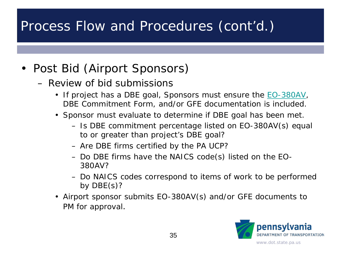- Post Bid (Airport Sponsors)
	- Review of bid submissions
		- If project has a DBE goal, Sponsors must ensure the **[EO-380AV](http://www.dot.state.pa.us/public/PubsForms/Forms/EO-380AV.pdf)**, DBE Commitment Form, and/or GFE documentation is included.
		- Sponsor must evaluate to determine if DBE goal has been met.
			- Is DBE commitment percentage listed on EO-380AV(s) equal to or greater than project's DBE goal?
			- Are DBE firms certified by the PA UCP?
			- Do DBE firms have the NAICS code(s) listed on the EO-380AV?
			- Do NAICS codes correspond to items of work to be performed by DBE(s)?
		- Airport sponsor submits EO-380AV(s) and/or GFE documents to PM for approval.

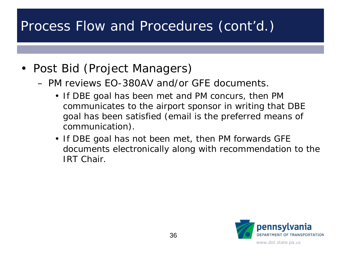- Post Bid (Project Managers)
	- PM reviews EO-380AV and/or GFE documents.
		- If DBE goal has been met and PM concurs, then PM communicates to the airport sponsor in writing that DBE goal has been satisfied (email is the preferred means of communication).
		- If DBE goal has not been met, then PM forwards GFE documents electronically along with recommendation to the IRT Chair.

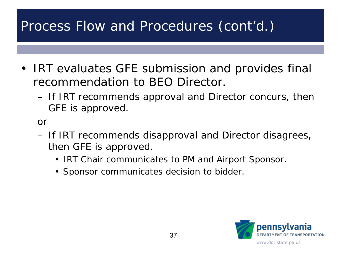- IRT evaluates GFE submission and provides final recommendation to BEO Director.
	- If IRT recommends approval and Director concurs, then GFE is approved.

or

- If IRT recommends disapproval and Director disagrees, then GFE is approved.
	- IRT Chair communicates to PM and Airport Sponsor.
	- Sponsor communicates decision to bidder.

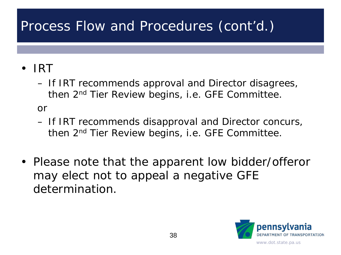#### • IRT

– If IRT recommends approval and Director disagrees, then 2nd Tier Review begins, i.e. GFE Committee.

or

- If IRT recommends disapproval and Director concurs, then 2nd Tier Review begins, i.e. GFE Committee.
- Please note that the apparent low bidder/offeror may elect not to appeal a negative GFE determination.

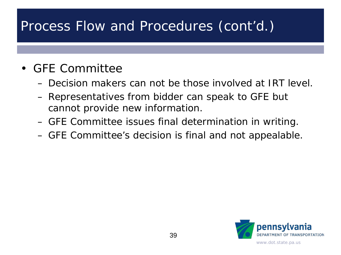#### • GFE Committee

- Decision makers can not be those involved at IRT level.
- Representatives from bidder can speak to GFE but cannot provide new information.
- GFE Committee issues final determination in writing.
- GFE Committee's decision is final and not appealable.

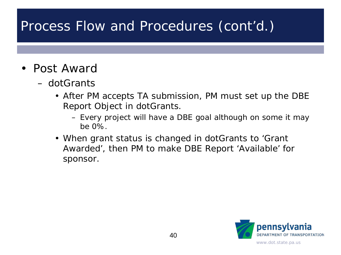- Post Award
	- dotGrants
		- After PM accepts TA submission, PM must set up the DBE Report Object in dotGrants.
			- Every project will have a DBE goal although on some it may be 0%.
		- When grant status is changed in dotGrants to 'Grant Awarded', then PM to make DBE Report 'Available' for sponsor.

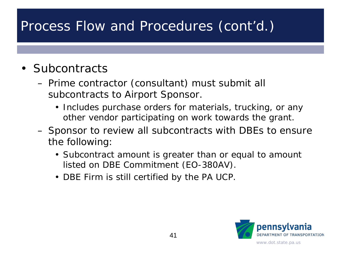#### • Subcontracts

- Prime contractor (consultant) must submit all subcontracts to Airport Sponsor.
	- Includes purchase orders for materials, trucking, or any other vendor participating on work towards the grant.
- Sponsor to review all subcontracts with DBEs to ensure the following:
	- Subcontract amount is greater than or equal to amount listed on DBE Commitment (EO-380AV).
	- DBE Firm is still certified by the PA UCP.

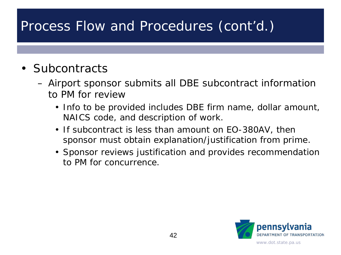#### • Subcontracts

- Airport sponsor submits all DBE subcontract information to PM for review
	- Info to be provided includes DBE firm name, dollar amount, NAICS code, and description of work.
	- If subcontract is less than amount on EO-380AV, then sponsor must obtain explanation/justification from prime.
	- Sponsor reviews justification and provides recommendation to PM for concurrence.

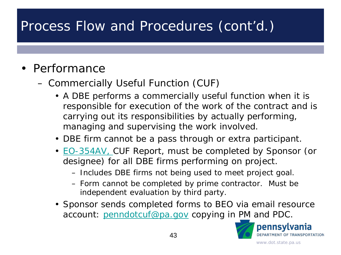#### • Performance

- Commercially Useful Function (CUF)
	- A DBE performs a commercially useful function when it is responsible for execution of the work of the contract and is carrying out its responsibilities by actually performing, managing and supervising the work involved.
	- DBE firm cannot be a pass through or extra participant.
	- **[EO-354AV, C](http://www.dot.state.pa.us/public/PubsForms/Forms/EO-354AV.pdf)UF Report, must be completed by Sponsor (or** designee) for all DBE firms performing on project.
		- Includes DBE firms not being used to meet project goal.
		- Form cannot be completed by prime contractor. Must be independent evaluation by third party.
	- Sponsor sends completed forms to BEO via email resource account: [penndotcuf@pa.gov](mailto:penndotcuf@pa.gov) copying in PM and PDC.

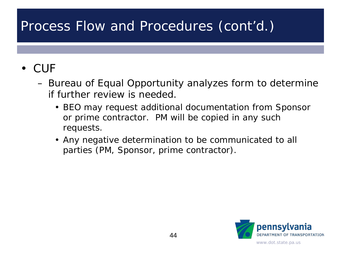#### • CUF

- Bureau of Equal Opportunity analyzes form to determine if further review is needed.
	- BEO may request additional documentation from Sponsor or prime contractor. PM will be copied in any such requests.
	- Any negative determination to be communicated to all parties (PM, Sponsor, prime contractor).

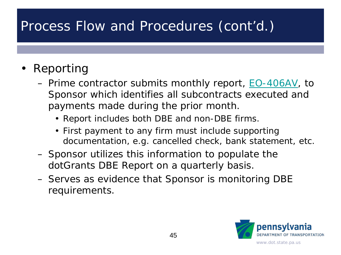- Reporting
	- Prime contractor submits monthly report, <u>EO-406AV</u>, to Sponsor which identifies all subcontracts executed and payments made during the prior month.
		- Report includes both DBE and non-DBE firms.
		- First payment to any firm must include supporting documentation, e.g. cancelled check, bank statement, etc.
	- Sponsor utilizes this information to populate the dotGrants DBE Report on a quarterly basis.
	- Serves as evidence that Sponsor is monitoring DBE requirements.

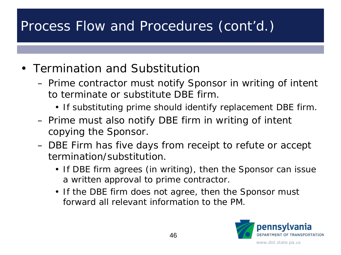- Termination and Substitution
	- Prime contractor must notify Sponsor in writing of intent to terminate or substitute DBE firm.
		- If substituting prime should identify replacement DBE firm.
	- Prime must also notify DBE firm in writing of intent copying the Sponsor.
	- DBE Firm has five days from receipt to refute or accept termination/substitution.
		- If DBE firm agrees (in writing), then the Sponsor can issue a written approval to prime contractor.
		- If the DBE firm does not agree, then the Sponsor must forward all relevant information to the PM.

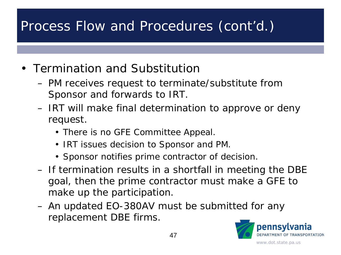- Termination and Substitution
	- PM receives request to terminate/substitute from Sponsor and forwards to IRT.
	- IRT will make final determination to approve or deny request.
		- There is no GFE Committee Appeal.
		- IRT issues decision to Sponsor and PM.
		- Sponsor notifies prime contractor of decision.
	- If termination results in a shortfall in meeting the DBE goal, then the prime contractor must make a GFE to make up the participation.
	- An updated EO-380AV must be submitted for any replacement DBE firms.

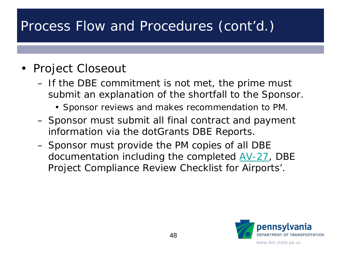#### • Project Closeout

- If the DBE commitment is not met, the prime must submit an explanation of the shortfall to the Sponsor.
	- Sponsor reviews and makes recommendation to PM.
- Sponsor must submit all final contract and payment information via the dotGrants DBE Reports.
- Sponsor must provide the PM copies of all DBE documentation including the completed [AV-27,](http://www.dot.state.pa.us/public/PubsForms/Forms/AV-27.pdf) DBE Project Compliance Review Checklist for Airports'.

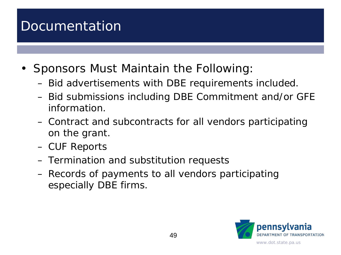### Documentation

- Sponsors Must Maintain the Following:
	- Bid advertisements with DBE requirements included.
	- Bid submissions including DBE Commitment and/or GFE information.
	- Contract and subcontracts for all vendors participating on the grant.
	- CUF Reports
	- Termination and substitution requests
	- Records of payments to all vendors participating especially DBE firms.

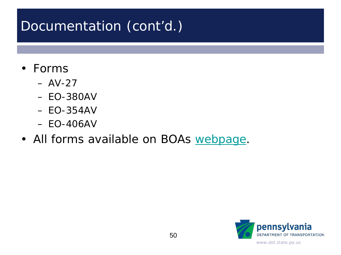# Documentation (cont'd.)

- Forms
	- $-$  AV-27
	- EO-380AV
	- EO-354AV
	- EO-406AV
- All forms available on BOAs [webpage.](http://www.penndot.gov/Doing-Business/Aviation/AviationLawsFormsAndPubs/Pages/default.aspx)

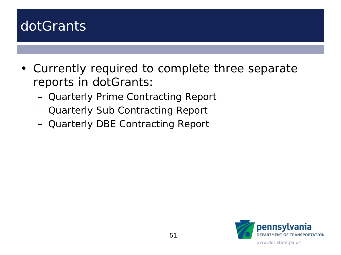### dotGrants

- Currently required to complete three separate reports in dotGrants:
	- Quarterly Prime Contracting Report
	- Quarterly Sub Contracting Report
	- Quarterly DBE Contracting Report

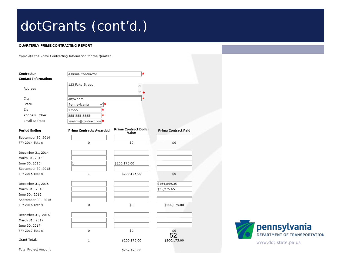#### QUARTERLY PRIME CONTRACTING REPORT

Complete the Prime Contracting Information for the Quarter.

| Contractor                  | A Prime Contractor             | $\ast$                                |                            |
|-----------------------------|--------------------------------|---------------------------------------|----------------------------|
| <b>Contact Information:</b> |                                |                                       |                            |
| Address                     | 123 Fake Street                |                                       |                            |
|                             |                                |                                       |                            |
| City                        | Anywhere                       |                                       |                            |
| State                       | $\vee$ *<br>Pennsylvania       |                                       |                            |
| Zip                         | *<br>17555                     |                                       |                            |
| Phone Number                | *<br>555-555-5555              |                                       |                            |
| Email Address               | imefirm@contract.con           |                                       |                            |
| <b>Period Ending</b>        | <b>Prime Contracts Awarded</b> | <b>Prime Contract Dollar</b><br>Value | <b>Prime Contract Paid</b> |
| September 30, 2014          |                                |                                       |                            |
| FFY 2014 Totals             | 0                              | \$0                                   | \$0                        |
| December 31, 2014           |                                |                                       |                            |
| March 31, 2015              |                                |                                       |                            |
| June 30, 2015               | 1                              | \$200,175.00                          |                            |
| September 30, 2015          |                                |                                       |                            |
| FFY 2015 Totals             | $\mathbf{1}$                   | \$200,175.00                          | \$0                        |
| December 31, 2015           |                                |                                       | \$164,899.35               |
| March 31, 2016              |                                |                                       | \$35,275.65                |
| June 30, 2016               |                                |                                       |                            |
| September 30, 2016          |                                |                                       |                            |
| FFY 2016 Totals             | 0                              | \$0                                   | \$200,175.00               |
| December 31, 2016           |                                |                                       |                            |
| March 31, 2017              |                                |                                       |                            |
| June 30, 2017               |                                |                                       |                            |
| FFY 2017 Totals             | 0                              | \$0                                   | \$0<br>52                  |
| Grant Totals                | 1                              | \$200,175.00                          | \$200,175.00               |
| Total Project Amount        |                                | \$262,426.00                          |                            |

www.dot.state.pa.us

pennsylvania

DEPARTMENT OF TRANSPORTATION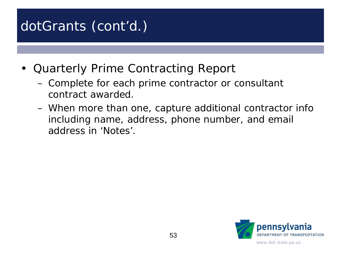- Quarterly Prime Contracting Report
	- Complete for each prime contractor or consultant contract awarded.
	- When more than one, capture additional contractor info including name, address, phone number, and email address in 'Notes'.

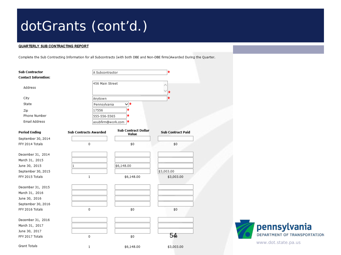#### QUARTERLY SUB CONTRACTING REPORT

Complete the Sub Contracting Information for all Subcontracts (with both DBE and Non-DBE firms)Awarded During the Quarter.

| <b>Sub Contractor</b>      | A Subcontractor              |                                     | $\star$                  |
|----------------------------|------------------------------|-------------------------------------|--------------------------|
| <b>Contact Informtion:</b> |                              |                                     |                          |
| Address                    | 456 Main Street              |                                     |                          |
|                            |                              |                                     |                          |
| City                       | Anytown                      |                                     |                          |
| State                      | Pennsylvania                 | $\vee$ *                            |                          |
| Zip                        | 17556                        | ÷                                   |                          |
| Phone Number               | 555-556-5565                 | *                                   |                          |
| Email Address              | asubfirm@work.com            | *                                   |                          |
| <b>Period Ending</b>       | <b>Sub Contracts Awarded</b> | <b>Sub Contract Dollar</b><br>Value | <b>Sub Contract Paid</b> |
| September 30, 2014         |                              |                                     |                          |
| FFY 2014 Totals            | 0                            | \$0                                 | \$0                      |
| December 31, 2014          |                              |                                     |                          |
| March 31, 2015             |                              |                                     |                          |
| June 30, 2015              | 1                            | \$6,148.00                          |                          |
| September 30, 2015         |                              |                                     | \$3,003.00               |
| FFY 2015 Totals            | $\mathbf{1}$                 | \$6,148.00                          | \$3,003.00               |
| December 31, 2015          |                              |                                     |                          |
| March 31, 2016             |                              |                                     |                          |
| June 30, 2016              |                              |                                     |                          |
| September 30, 2016         |                              |                                     |                          |
| FFY 2016 Totals            | 0                            | \$0                                 | \$0                      |
| December 31, 2016          |                              |                                     |                          |
| March 31, 2017             |                              |                                     |                          |
| June 30, 2017              |                              |                                     |                          |
| FFY 2017 Totals            | 0                            | \$0                                 | 54⊧                      |
| Grant Totals               | 1                            | \$6,148.00                          | \$3,003.00               |

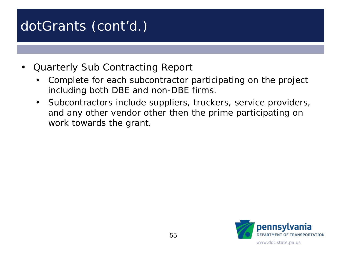- Quarterly Sub Contracting Report
	- Complete for each subcontractor participating on the project including both DBE and non-DBE firms.
	- Subcontractors include suppliers, truckers, service providers, and any other vendor other then the prime participating on work towards the grant.

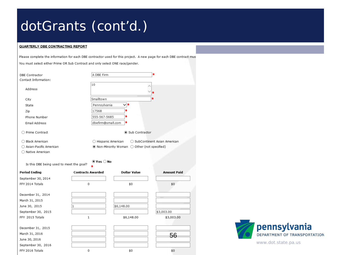#### QUARTERLY DBE CONTRACTING REPORT

Please complete the information for each DBE contractor used for this project. A new page for each DBE contract mus

You must select either Prime OR Sub Contract and only select ONE race/gender.

|                                          | A DBE Firm                   |                                              | $\star$                       |
|------------------------------------------|------------------------------|----------------------------------------------|-------------------------------|
| DBE Contractor<br>Contact Information:   |                              |                                              |                               |
|                                          | 10                           |                                              |                               |
| Address                                  |                              |                                              |                               |
|                                          |                              |                                              |                               |
| City                                     | Smalltown                    |                                              |                               |
| State                                    | Pennsylvania                 | ∨∗                                           |                               |
| Zip                                      | 17568                        | ÷                                            |                               |
| Phone Number                             | 555-567-5685                 | *                                            |                               |
| Email Address                            | dbefirm@small.com            | *                                            |                               |
| ○ Prime Contract                         |                              | Sub Contractor                               |                               |
|                                          |                              |                                              |                               |
| ◯ Black American                         | $\bigcirc$ Hispanic American |                                              | ◯ SubContinent Asian American |
| Asian-Pacific American                   |                              | ◉ Non-Minority Woman ○ Other (not specified) |                               |
| ◯ Native American                        |                              |                                              |                               |
|                                          |                              |                                              |                               |
|                                          | $\bullet$ Yes $\bigcirc$ No  |                                              |                               |
| Is this DBE being used to meet the goal? |                              |                                              |                               |
| <b>Period Ending</b>                     | <b>Contracts Awarded</b>     | <b>Dollar Value</b>                          | <b>Amount Paid</b>            |
| September 30, 2014                       |                              |                                              |                               |
| FFY 2014 Totals                          | $\mathbf 0$                  | \$0                                          | \$0                           |
|                                          |                              |                                              |                               |
| December 31, 2014                        |                              |                                              |                               |
| March 31, 2015                           |                              |                                              |                               |
| June 30, 2015                            | 1                            | \$6,148.00                                   |                               |
| September 30, 2015                       |                              |                                              | \$3,003.00                    |
| FFY 2015 Totals                          | $\mathbf{1}$                 | \$6,148.00                                   | \$3,003.00                    |
|                                          |                              |                                              |                               |
| December 31, 2015                        |                              |                                              |                               |
| March 31, 2016                           |                              |                                              |                               |
| June 30, 2016                            |                              |                                              | 56                            |
| September 30, 2016                       |                              |                                              |                               |

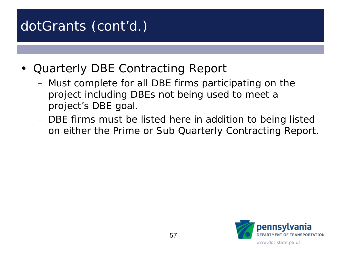- Quarterly DBE Contracting Report
	- Must complete for all DBE firms participating on the project including DBEs not being used to meet a project's DBE goal.
	- DBE firms must be listed here in addition to being listed on either the Prime or Sub Quarterly Contracting Report.

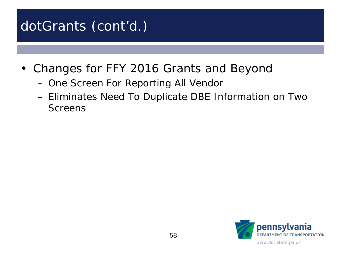- Changes for FFY 2016 Grants and Beyond
	- One Screen For Reporting All Vendor
	- Eliminates Need To Duplicate DBE Information on Two Screens

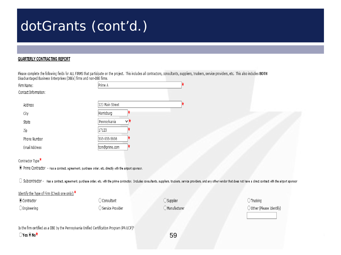#### QUARTERLY CONTRACTING REPORT

Please complete the following fields for ALL FIRMS that participate on the project. This includes all contractors, consultants, suppliers, truckers, service providers, etc. This also includes BOTH Disadvantaged Business Enterprises (DBEs) firms and non-DBE firms.

| Firm Name:           | Prime A            |  |
|----------------------|--------------------|--|
| Contact Information: |                    |  |
| Address              | 123 Main Street    |  |
| City                 | Harrisburg         |  |
| State                | Pennsylvania<br>∨* |  |
| Zip                  | 17120              |  |
| Phone Number         | 555-555-5656       |  |
| Email Address        | tom@prime.com      |  |
|                      |                    |  |

#### Contractor Type\*

. Prime Contractor - Has a contract, agreement, purchase order, etc. directly with the airport sponsor.

○ Subcontractor - Has a contract, agreement, purchase order, etc. with the prime contractor. Includes consultants, suppliers, truckers, service providers, and any other vendor that does not have a direct contract with the

#### Identify the Type of Firm (Check one only):\*

| Contractor    | ) Consultant     | ) Supplier     | ) Trucking                         |
|---------------|------------------|----------------|------------------------------------|
| D Engineering | Service Provider | ) Manufacturer | $\bigcirc$ Other (Please Identify) |

Is the firm certified as a DBE by the Pennsylvania Unified Certification Program (PA UCP)?

○Yes 
No<sup>\*</sup>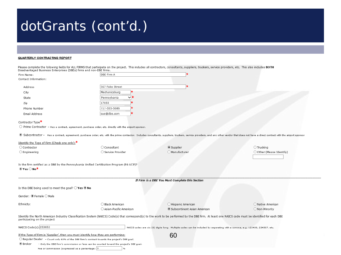#### QUARTERLY CONTRACTING REPORT

| WOARTERLE GON IRAG IING REFORT                                                                                                                                                     |                                                                                        |                                                                                                                                                                                                                               |                           |
|------------------------------------------------------------------------------------------------------------------------------------------------------------------------------------|----------------------------------------------------------------------------------------|-------------------------------------------------------------------------------------------------------------------------------------------------------------------------------------------------------------------------------|---------------------------|
| Disadvantaged Business Enterprises (DBEs) firms and non-DBE firms.                                                                                                                 |                                                                                        | Please complete the following fields for ALL FIRMS that participate on the project. This includes all contractors, consultants, suppliers, truckers, service providers, etc. This also includes BOTH                          |                           |
| Firm Name:                                                                                                                                                                         | DBE Firm A                                                                             |                                                                                                                                                                                                                               |                           |
| Contact Information:                                                                                                                                                               |                                                                                        |                                                                                                                                                                                                                               |                           |
| Address                                                                                                                                                                            | 567 Fake Street                                                                        |                                                                                                                                                                                                                               |                           |
| City                                                                                                                                                                               | Mechanicsburg                                                                          |                                                                                                                                                                                                                               |                           |
| State                                                                                                                                                                              | Pennsylvania<br>v:                                                                     |                                                                                                                                                                                                                               |                           |
| Zip                                                                                                                                                                                | 17055                                                                                  |                                                                                                                                                                                                                               |                           |
| Phone Number                                                                                                                                                                       | 717-555-5686                                                                           |                                                                                                                                                                                                                               |                           |
| Email Address                                                                                                                                                                      | sue@dbe.com                                                                            |                                                                                                                                                                                                                               |                           |
| Contractor Type <sup>*</sup>                                                                                                                                                       |                                                                                        |                                                                                                                                                                                                                               |                           |
| $\bigcirc$ Prime Contractor - Has a contract, agreement, purchase order, etc. directly with the airport sponsor.                                                                   |                                                                                        |                                                                                                                                                                                                                               |                           |
|                                                                                                                                                                                    |                                                                                        | ● Subcontractor - Has a contract, agreement, purchase order, etc. with the prime contractor. Includes consultants, suppliers, truckers, service providers, and any other vendor that does not have a direct contract with the |                           |
| Identify the Type of Firm (Check one only):*                                                                                                                                       |                                                                                        |                                                                                                                                                                                                                               |                           |
| ○ Contractor                                                                                                                                                                       | $\bigcirc$ Consultant                                                                  | ◉ Supplier                                                                                                                                                                                                                    | $\bigcirc$ Trucking       |
| $\bigcirc$ Engineering                                                                                                                                                             | ○ Service Provider                                                                     | O Manufacturer                                                                                                                                                                                                                | O Other (Please Identify) |
| Is the firm certified as a DBE by the Pennsylvania Unified Certification Program (PA UCP)?<br>$\odot$ Yes $\bigcirc$ No <sup>*</sup>                                               |                                                                                        |                                                                                                                                                                                                                               |                           |
|                                                                                                                                                                                    |                                                                                        | If Firm is a DBE You Must Complete this Section                                                                                                                                                                               |                           |
| Is this DBE being used to meet the goal? $\bigcirc$ Yes $\circledast$ No                                                                                                           |                                                                                        |                                                                                                                                                                                                                               |                           |
| Gender: ● Female ○ Male                                                                                                                                                            |                                                                                        |                                                                                                                                                                                                                               |                           |
| Ethnicity:                                                                                                                                                                         | ◯ Black American                                                                       | O Hispanic American                                                                                                                                                                                                           | O Native American         |
|                                                                                                                                                                                    | ◯ Asian-Pacific American                                                               | Subcontinent Asian American                                                                                                                                                                                                   | O Non-Minority            |
| participating on the project                                                                                                                                                       |                                                                                        | Identify the North American Industry Classification System (NAICS) Code(s) that correspond(s) to the work to be performed by the DBE firm. At least one NAICS code must be identified for each DBE                            |                           |
| NAICS Code(s): 253652                                                                                                                                                              |                                                                                        | NAICS codes are six (6) digits long. Multiple codes can be included by separating with a comma, e.g. 123456, 234567, etc.                                                                                                     |                           |
| If the Type of Firm is 'Supplier', then you must identify how they are performing:<br>○ Regular Dealer - Count only 60% of the DBE firm's contract towards the project's DBE goal. |                                                                                        | 60                                                                                                                                                                                                                            |                           |
| ● Broker                                                                                                                                                                           | - Only the DBE firm's commission or fees can be counted toward the project's DBE goal. |                                                                                                                                                                                                                               |                           |
| Fee or commission (expressed as a percentage: 5                                                                                                                                    |                                                                                        |                                                                                                                                                                                                                               |                           |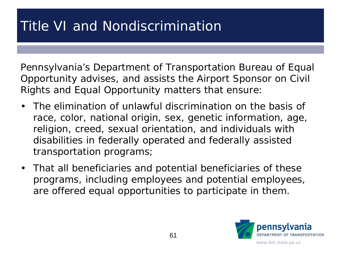Pennsylvania's Department of Transportation Bureau of Equal Opportunity advises, and assists the Airport Sponsor on Civil Rights and Equal Opportunity matters that ensure:

- The elimination of unlawful discrimination on the basis of race, color, national origin, sex, genetic information, age, religion, creed, sexual orientation, and individuals with disabilities in federally operated and federally assisted transportation programs;
- That all beneficiaries and potential beneficiaries of these programs, including employees and potential employees, are offered equal opportunities to participate in them.

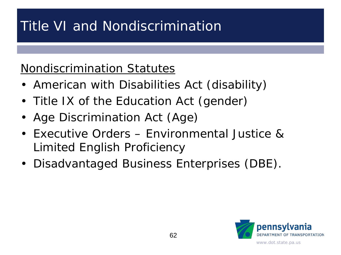#### Nondiscrimination Statutes

- American with Disabilities Act (disability)
- Title IX of the Education Act (gender)
- Age Discrimination Act (Age)
- Executive Orders Environmental Justice & Limited English Proficiency
- Disadvantaged Business Enterprises (DBE).

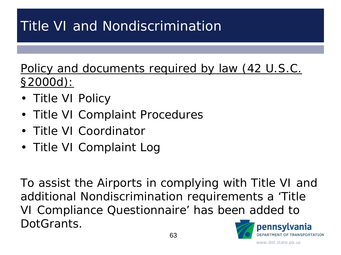Policy and documents required by law (42 U.S.C. §2000d):

- Title VI Policy
- Title VI Complaint Procedures
- Title VI Coordinator
- Title VI Complaint Log

To assist the Airports in complying with Title VI and additional Nondiscrimination requirements a 'Title VI Compliance Questionnaire' has been added to DotGrants. pennsylvania

**DEPARTMENT OF TRANSPORTATION**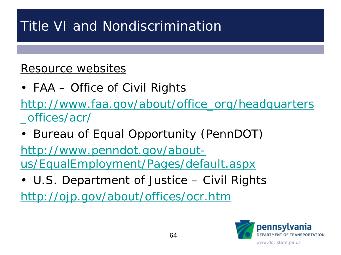#### Resource websites

• FAA – Office of Civil Rights

[http://www.faa.gov/about/office\\_org/headquarters](http://www.faa.gov/about/office_org/headquarters_offices/acr/) \_offices/acr/

• Bureau of Equal Opportunity (PennDOT)

http://www.penndot.gov/about[us/EqualEmployment/Pages/default.aspx](http://www.penndot.gov/about-us/EqualEmployment/Pages/default.aspx)

• U.S. Department of Justice – Civil Rights

<http://ojp.gov/about/offices/ocr.htm>

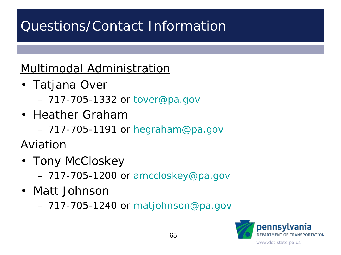# Questions/Contact Information

#### Multimodal Administration

- Tatjana Over
	- 717-705-1332 or [tover@pa.gov](mailto:tover@pa.gov)
- Heather Graham
	- 717-705-1191 or [hegraham@pa.gov](mailto:hegraham@pa.gov)

Aviation

- Tony McCloskey
	- 717-705-1200 or [amccloskey@pa.gov](mailto:amccloskey@pa.gov)
- Matt Johnson
	- 717-705-1240 or [matjohnson@pa.gov](mailto:matjohnson@pa.gov)